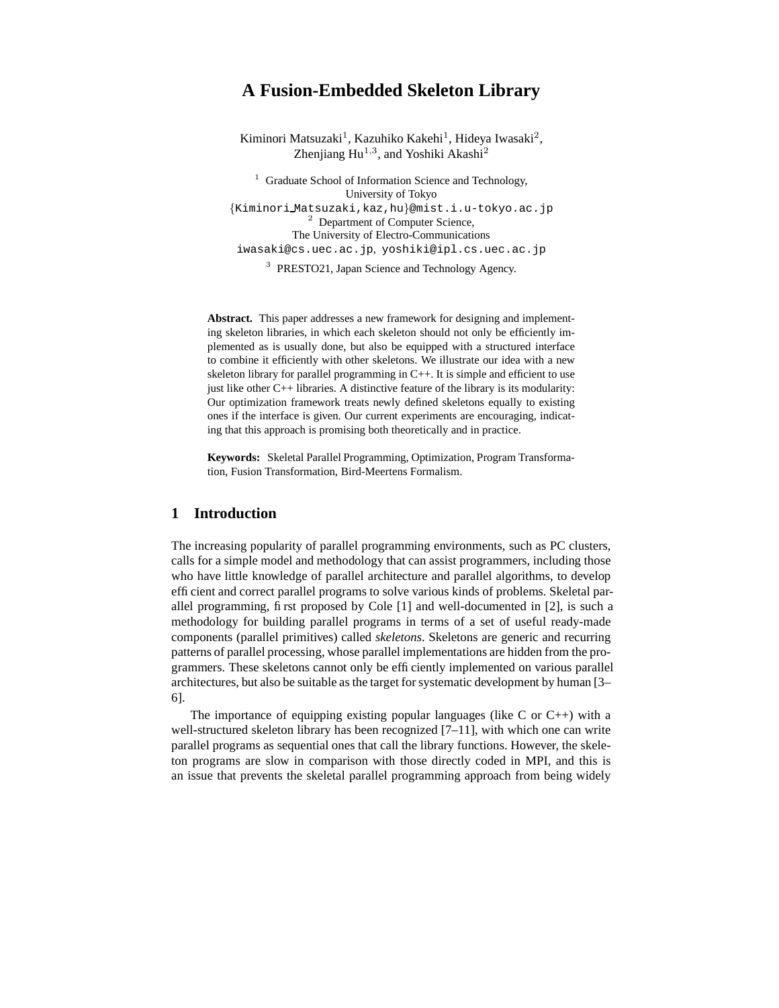# **A Fusion-Embedded Skeleton Library**

Kiminori Matsuzaki<sup>1</sup>, Kazuhiko Kakehi<sup>1</sup>, Hideya Iwasaki<sup>2</sup>, Zhenjiang  $Hu^{1,3}$ , and Yoshiki Akashi<sup>2</sup>

 $1$  Graduate School of Information Science and Technology, University of Tokyo {Kiminori Matsuzaki,kaz,hu}@mist.i.u-tokyo.ac.jp <sup>2</sup> Department of Computer Science, The University of Electro-Communications iwasaki@cs.uec.ac.jp, yoshiki@ipl.cs.uec.ac.jp

<sup>3</sup> PRESTO21, Japan Science and Technology Agency.

**Abstract.** This paper addresses a new framework for designing and implementing skeleton libraries, in which each skeleton should not only be efficiently implemented as is usually done, but also be equipped with a structured interface to combine it efficiently with other skeletons. We illustrate our idea with a new skeleton library for parallel programming in  $C++$ . It is simple and efficient to use just like other  $C_{++}$  libraries. A distinctive feature of the library is its modularity: Our optimization framework treats newly defined skeletons equally to existing ones if the interface is given. Our current experiments are encouraging, indicating that this approach is promising both theoretically and in practice.

**Keywords:** Skeletal Parallel Programming, Optimization, Program Transformation, Fusion Transformation, Bird-Meertens Formalism.

# **1 Introduction**

The increasing popularity of parallel programming environments, such as PC clusters, calls for a simple model and methodology that can assist programmers, including those who have little knowledge of parallel architecture and parallel algorithms, to develop efficient and correct parallel programs to solve various kinds of problems. Skeletal parallel programming, first proposed by Cole [1] and well-documented in [2], is such a methodology for building parallel programs in terms of a set of useful ready-made components (parallel primitives) called *skeletons*. Skeletons are generic and recurring patterns of parallel processing, whose parallel implementations are hidden from the programmers. These skeletons cannot only be efficiently implemented on various parallel architectures, but also be suitable as the target forsystematic development by human [3– 6].

The importance of equipping existing popular languages (like C or  $C_{++}$ ) with a well-structured skeleton library has been recognized [7–11], with which one can write parallel programs as sequential ones that call the library functions. However, the skeleton programs are slow in comparison with those directly coded in MPI, and this is an issue that prevents the skeletal parallel programming approach from being widely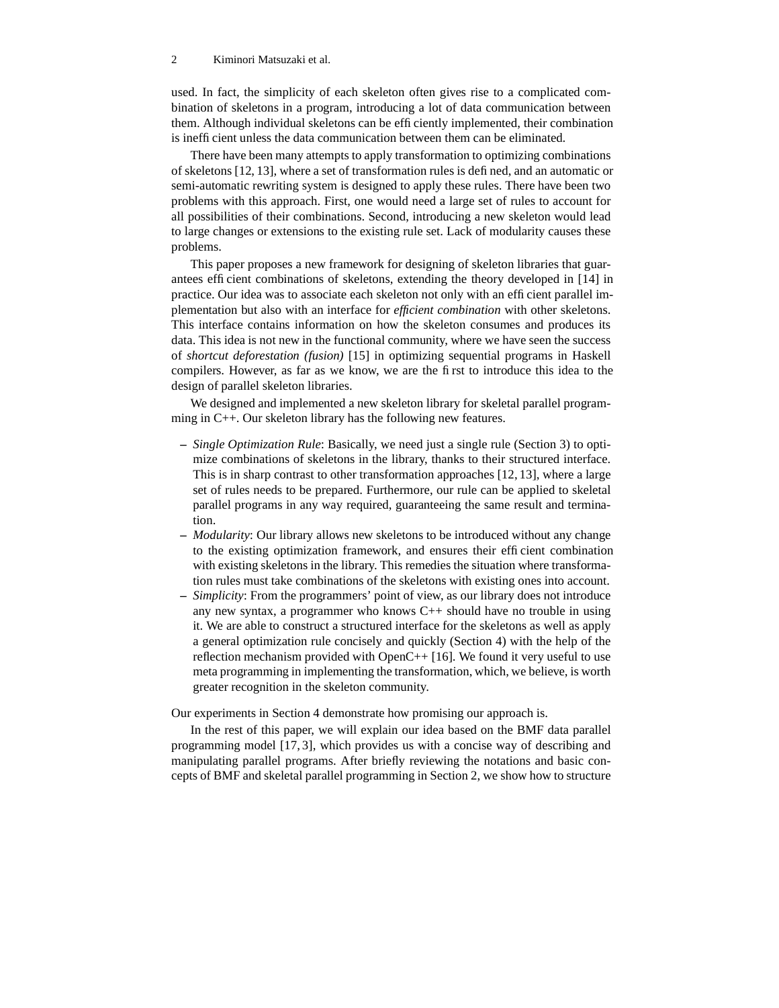#### 2 Kiminori Matsuzaki et al.

used. In fact, the simplicity of each skeleton often gives rise to a complicated combination of skeletons in a program, introducing a lot of data communication between them. Although individual skeletons can be efficiently implemented, their combination is inefficient unless the data communication between them can be eliminated.

There have been many attempts to apply transformation to optimizing combinations of skeletons [12, 13], where a set of transformation rules is defined, and an automatic or semi-automatic rewriting system is designed to apply these rules. There have been two problems with this approach. First, one would need a large set of rules to account for all possibilities of their combinations. Second, introducing a new skeleton would lead to large changes or extensions to the existing rule set. Lack of modularity causes these problems.

This paper proposes a new framework for designing of skeleton libraries that guarantees efficient combinations of skeletons, extending the theory developed in [14] in practice. Our idea was to associate each skeleton not only with an efficient parallel implementation but also with an interface for *efficient combination* with other skeletons. This interface contains information on how the skeleton consumes and produces its data. This idea is not new in the functional community, where we have seen the success of *shortcut deforestation (fusion)* [15] in optimizing sequential programs in Haskell compilers. However, as far as we know, we are the first to introduce this idea to the design of parallel skeleton libraries.

We designed and implemented a new skeleton library for skeletal parallel programming in C++. Our skeleton library has the following new features.

- **–** *Single Optimization Rule*: Basically, we need just a single rule (Section 3) to optimize combinations of skeletons in the library, thanks to their structured interface. This is in sharp contrast to other transformation approaches [12, 13], where a large set of rules needs to be prepared. Furthermore, our rule can be applied to skeletal parallel programs in any way required, guaranteeing the same result and termination.
- **–** *Modularity*: Our library allows new skeletons to be introduced without any change to the existing optimization framework, and ensures their efficient combination with existing skeletons in the library. This remedies the situation where transformation rules must take combinations of the skeletons with existing ones into account.
- **–** *Simplicity*: From the programmers' point of view, as our library does not introduce any new syntax, a programmer who knows  $C_{++}$  should have no trouble in using it. We are able to construct a structured interface for the skeletons as well as apply a general optimization rule concisely and quickly (Section 4) with the help of the reflection mechanism provided with OpenC++ [16]. We found it very useful to use meta programming in implementing the transformation, which, we believe, is worth greater recognition in the skeleton community.

Our experiments in Section 4 demonstrate how promising our approach is.

In the rest of this paper, we will explain our idea based on the BMF data parallel programming model [17, 3], which provides us with a concise way of describing and manipulating parallel programs. After briefly reviewing the notations and basic concepts of BMF and skeletal parallel programming in Section 2, we show how to structure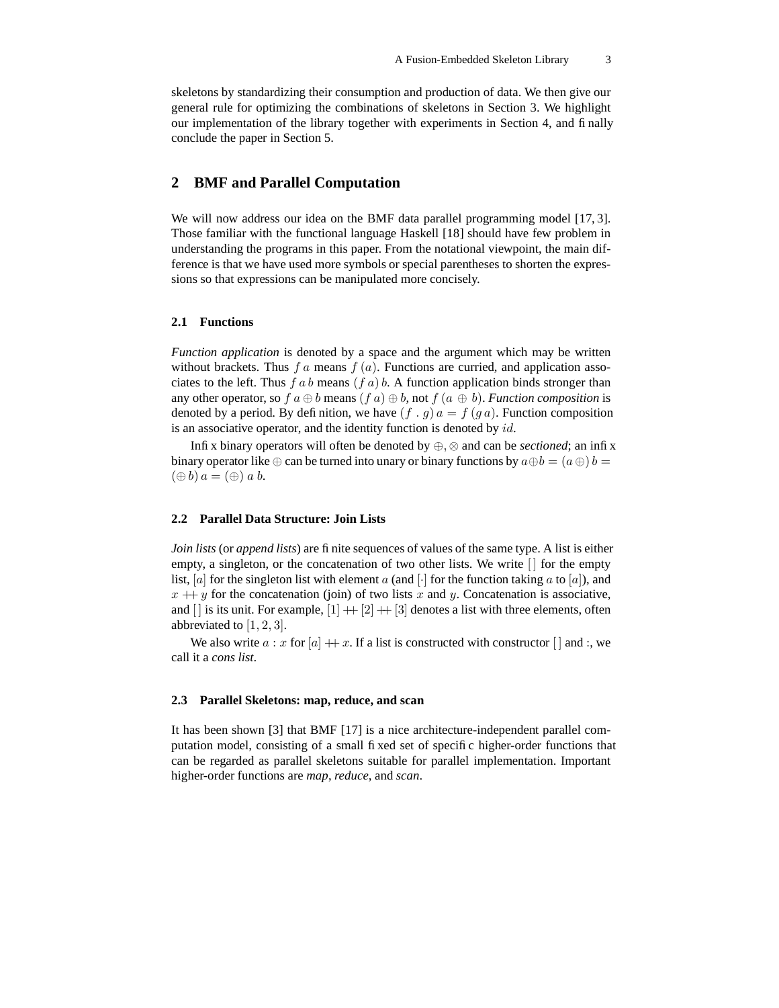skeletons by standardizing their consumption and production of data. We then give our general rule for optimizing the combinations of skeletons in Section 3. We highlight our implementation of the library together with experiments in Section 4, and finally conclude the paper in Section 5.

# **2 BMF and Parallel Computation**

We will now address our idea on the BMF data parallel programming model [17, 3]. Those familiar with the functional language Haskell [18] should have few problem in understanding the programs in this paper. From the notational viewpoint, the main difference is that we have used more symbols or special parentheses to shorten the expressions so that expressions can be manipulated more concisely.

#### **2.1 Functions**

*Function application* is denoted by a space and the argument which may be written without brackets. Thus  $fa$  means  $f(a)$ . Functions are curried, and application associates to the left. Thus f a b means  $(f \, a)$  b. A function application binds stronger than any other operator, so  $f \circ a \oplus b$  means  $(f \circ a) \oplus b$ , not  $f(a \oplus b)$ . *Function composition* is denoted by a period. By definition, we have  $(f \cdot g) a = f(g a)$ . Function composition is an associative operator, and the identity function is denoted by  $id$ .

Infix binary operators will often be denoted by ⊕, ⊗ and can be *sectioned*; an infix binary operator like ⊕ can be turned into unary or binary functions by  $a \oplus b = (a \oplus b)$  $(\oplus b) a = (\oplus) a b.$ 

#### **2.2 Parallel Data Structure: Join Lists**

*Join lists* (or *append lists*) are finite sequences of values of the same type. A list is either empty, a singleton, or the concatenation of two other lists. We write  $\lceil \rceil$  for the empty list, [a] for the singleton list with element a (and  $\lceil \cdot \rceil$  for the function taking a to [a]), and  $x + y$  for the concatenation (join) of two lists x and y. Concatenation is associative, and  $[$  is its unit. For example,  $[1] + [2] + [3]$  denotes a list with three elements, often abbreviated to  $[1, 2, 3]$ .

We also write  $a: x$  for  $[a] + x$ . If a list is constructed with constructor  $[]$  and:, we call it a *cons list*.

#### **2.3 Parallel Skeletons: map, reduce, and scan**

It has been shown [3] that BMF [17] is a nice architecture-independent parallel computation model, consisting of a small fixed set of specific higher-order functions that can be regarded as parallel skeletons suitable for parallel implementation. Important higher-order functions are *map*, *reduce*, and *scan*.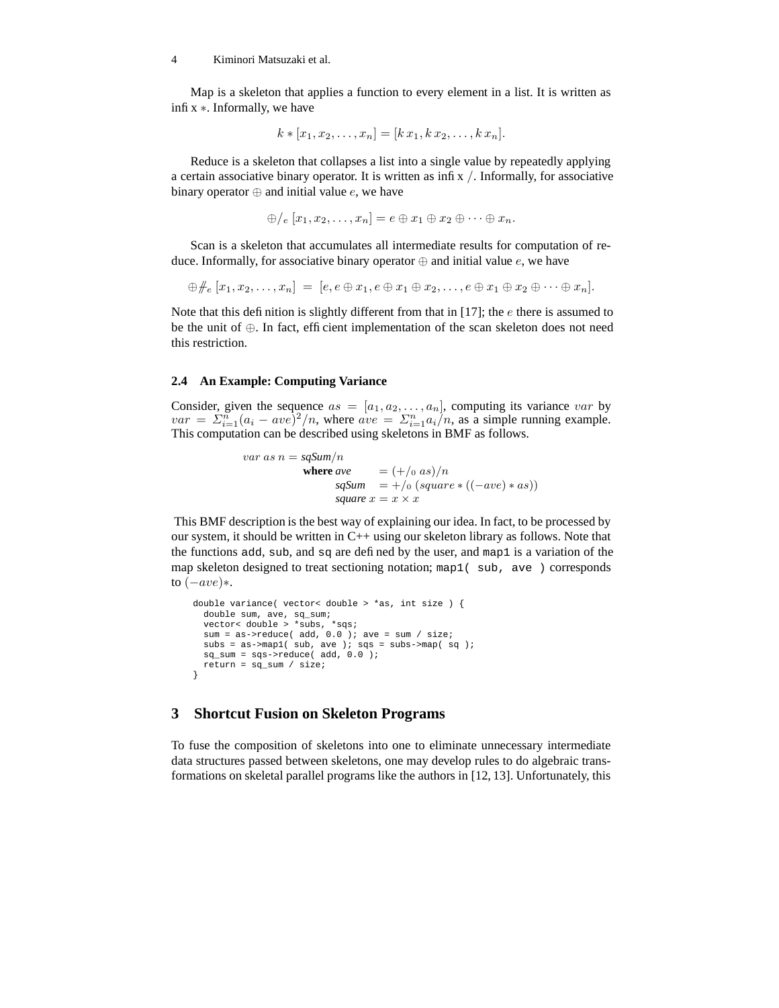#### 4 Kiminori Matsuzaki et al.

Map is a skeleton that applies a function to every element in a list. It is written as infix ∗. Informally, we have

$$
k * [x_1, x_2, \dots, x_n] = [k x_1, k x_2, \dots, k x_n].
$$

Reduce is a skeleton that collapses a list into a single value by repeatedly applying a certain associative binary operator. It is written as infix  $\ell$ . Informally, for associative binary operator  $\oplus$  and initial value e, we have

$$
\bigoplus_{e \in [x_1, x_2, \ldots, x_n] = e \oplus x_1 \oplus x_2 \oplus \cdots \oplus x_n.
$$

Scan is a skeleton that accumulates all intermediate results for computation of reduce. Informally, for associative binary operator  $\oplus$  and initial value e, we have

 $\oplus\#_{e}[x_1,x_2,\ldots,x_n] = [e,e\oplus x_1,e\oplus x_1\oplus x_2,\ldots,e\oplus x_1\oplus x_2\oplus\cdots\oplus x_n].$ 

Note that this definition is slightly different from that in [17]; the  $e$  there is assumed to be the unit of ⊕. In fact, efficient implementation of the scan skeleton does not need this restriction.

#### **2.4 An Example: Computing Variance**

Consider, given the sequence  $as = [a_1, a_2, \ldots, a_n]$ , computing its variance var by  $var = \sum_{i=1}^{n} (a_i - ave)^2/n$ , where  $ave = \sum_{i=1}^{n} a_i/n$ , as a simple running example. This computation can be described using skeletons in BMF as follows.

> $var as n = \frac{sqSum}{n}$ **where**  $ave = (+/0 as)/n$  $sgSum = +/0 (square * ((-ave) * as))$ *square*  $x = x \times x$

This BMF description is the best way of explaining our idea. In fact, to be processed by our system, it should be written in C++ using our skeleton library as follows. Note that the functions add, sub, and sq are defined by the user, and map1 is a variation of the map skeleton designed to treat sectioning notation; map1( sub, ave ) corresponds to  $(-ave)*$ .

```
double variance( vector< double > *as, int size ) {
 double sum, ave, sq_sum;
  vector< double > *subs, *sqs;
 sum = as->reduce(add, 0.0); ave = sum / size;
 subs = as->map1( sub, ave ); sqs = subs->map( sq );
 sq_sum = sqs->reduce( add, 0.0 );
 return = sq_sum / size;
}
```
# **3 Shortcut Fusion on Skeleton Programs**

To fuse the composition of skeletons into one to eliminate unnecessary intermediate data structures passed between skeletons, one may develop rules to do algebraic transformations on skeletal parallel programs like the authors in [12, 13]. Unfortunately, this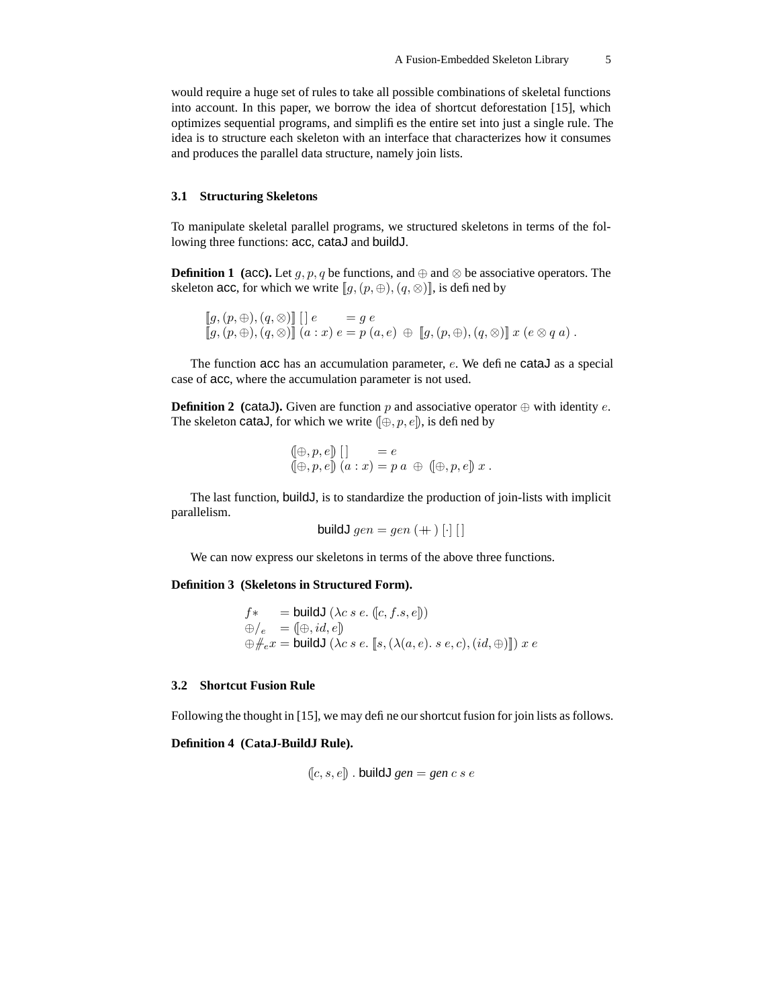would require a huge set of rules to take all possible combinations of skeletal functions into account. In this paper, we borrow the idea of shortcut deforestation [15], which optimizes sequential programs, and simplifies the entire set into just a single rule. The idea is to structure each skeleton with an interface that characterizes how it consumes and produces the parallel data structure, namely join lists.

#### **3.1 Structuring Skeletons**

To manipulate skeletal parallel programs, we structured skeletons in terms of the following three functions: acc, cataJ and buildJ.

**Definition 1** (acc). Let  $g, p, q$  be functions, and  $\oplus$  and  $\otimes$  be associative operators. The skeleton acc, for which we write  $[g,(p,\oplus),(q,\otimes)]$ , is defined by

 $[g,(p,\oplus),(q,\otimes)]$   $[$   $]$   $e$  =  $g$   $e$  $[\![g,(p,\oplus),(q,\otimes)]\!] \; (a:x) \; e = p \;(a,e) \; \oplus \; [\![g,(p,\oplus),(q,\otimes)]\!] \; x \; (e \otimes q \; a) \; .$ 

The function acc has an accumulation parameter, e. We define cataJ as a special case of acc, where the accumulation parameter is not used.

**Definition 2** (cataJ). Given are function p and associative operator  $\oplus$  with identity e. The skeleton cataJ, for which we write  $(\oplus, p, e)$ , is defined by

$$
([\oplus, p, e)] \quad = e
$$
  

$$
([\oplus, p, e]) \ (a : x) = p \ a \ \oplus \ ([\oplus, p, e]) \ x .
$$

The last function, buildJ, is to standardize the production of join-lists with implicit parallelism.

$$
buildJ\,gen = gen\, (+) \, [\cdot] \, [\cdot]
$$

We can now express our skeletons in terms of the above three functions.

#### **Definition 3 (Skeletons in Structured Form).**

$$
f* = \text{buildJ } (\lambda c \ s \ e. (c, f.s, e))
$$
  
\n
$$
\oplus /_{e} = (\oplus, id, e)
$$
  
\n
$$
\oplus \#_{e} x = \text{buildJ } (\lambda c \ s \ e. [s, (\lambda(a, e). s \ e, c), (id, \oplus)]) \ x \ e
$$

### **3.2 Shortcut Fusion Rule**

Following the thought in [15], we may define ourshortcut fusion for join lists as follows.

### **Definition 4 (CataJ-BuildJ Rule).**

$$
([c, s, e])
$$
. buildJ gen = gen c s e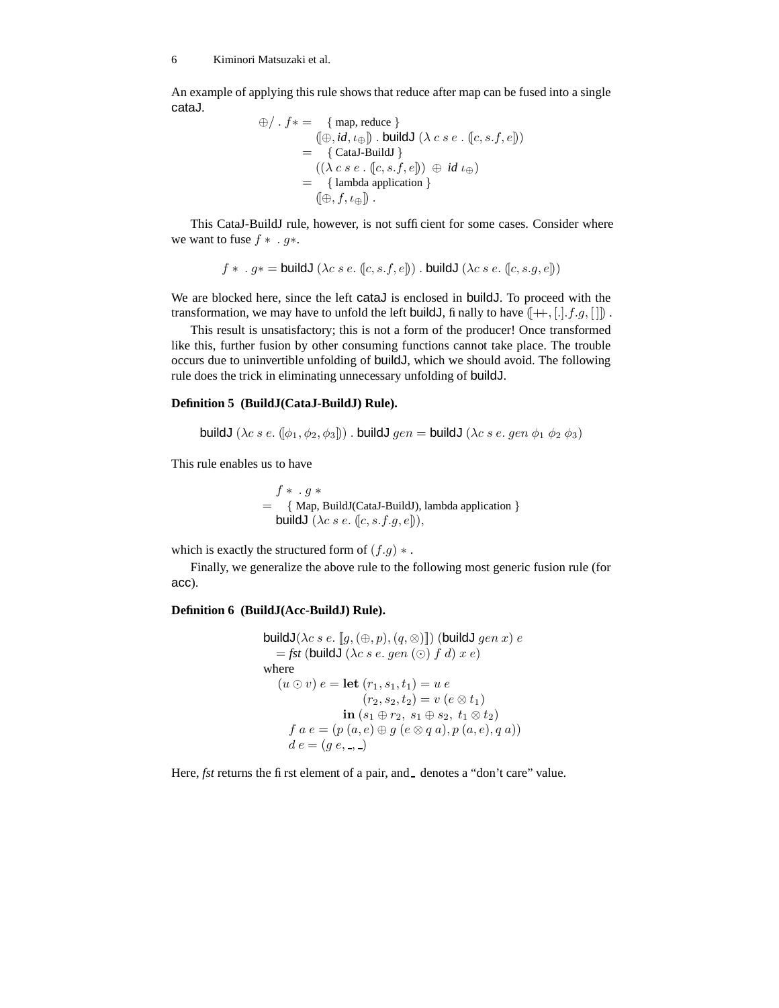An example of applying this rule shows that reduce after map can be fused into a single cataJ.

$$
\bigoplus / f * = \{ \text{ map, reduce } \}
$$
  
\n
$$
\bigoplus, id, \iota_{\bigoplus}
$$
 \nbuild  $\{ \lambda \ c \ s \ e \ (c, s.f, e] \}$ )  
\n
$$
= \{ \text{Catal-BuildJ } \}
$$
  
\n
$$
\big( (\lambda \ c \ s \ e \ (c, s.f, e] \big) \oplus id \iota_{\bigoplus}
$$
  
\n
$$
= \{ \text{lambda application } \}
$$
  
\n
$$
\bigoplus, f, \iota_{\bigoplus} \bigg).
$$

This CataJ-BuildJ rule, however, is not sufficient for some cases. Consider where we want to fuse  $f * . g *$ .

 $f * . g * =$  buildJ  $(\lambda c \ s \ e. (c, s.f, e))$ . buildJ  $(\lambda c \ s \ e. (c, s.g, e))$ 

We are blocked here, since the left cataJ is enclosed in buildJ. To proceed with the transformation, we may have to unfold the left build J, finally to have  $[+, [.].f.g, []]$ .

This result is unsatisfactory; this is not a form of the producer! Once transformed like this, further fusion by other consuming functions cannot take place. The trouble occurs due to uninvertible unfolding of buildJ, which we should avoid. The following rule does the trick in eliminating unnecessary unfolding of buildJ.

#### **Definition 5 (BuildJ(CataJ-BuildJ) Rule).**

buildJ ( $\lambda c$  s e. ( $(\phi_1, \phi_2, \phi_3)$ ). buildJ gen = buildJ ( $\lambda c$  s e. gen  $\phi_1$   $\phi_2$   $\phi_3$ )

This rule enables us to have

 $f * .g *$ = { Map, BuildJ(CataJ-BuildJ), lambda application } buildJ  $(\lambda c \ s \ e. \ (c, s.f.g, e)),$ 

which is exactly the structured form of  $(f.g)$   $*$ .

Finally, we generalize the above rule to the following most generic fusion rule (for acc).

### **Definition 6 (BuildJ(Acc-BuildJ) Rule).**

buildJ(
$$
\lambda c s e
$$
. [g, ( $\oplus$ , p), (q,  $\otimes$ )]]) (buildJ gen x) e  
\n= fst (buildJ ( $\lambda c s e$ . gen ( $\odot$ ) f d) x e)  
\nwhere  
\n $(u \odot v) e$  = let  $(r_1, s_1, t_1)$  = u e  
\n $(r_2, s_2, t_2)$  = v (e  $\otimes t_1$ )  
\nin  $(s_1 \oplus r_2, s_1 \oplus s_2, t_1 \otimes t_2)$   
\nf a e = (p (a, e)  $\oplus$  g (e  $\otimes$  q a), p (a, e), q a))  
\nd e = (g e, -, -)

Here, *fst* returns the first element of a pair, and \_denotes a "don't care" value.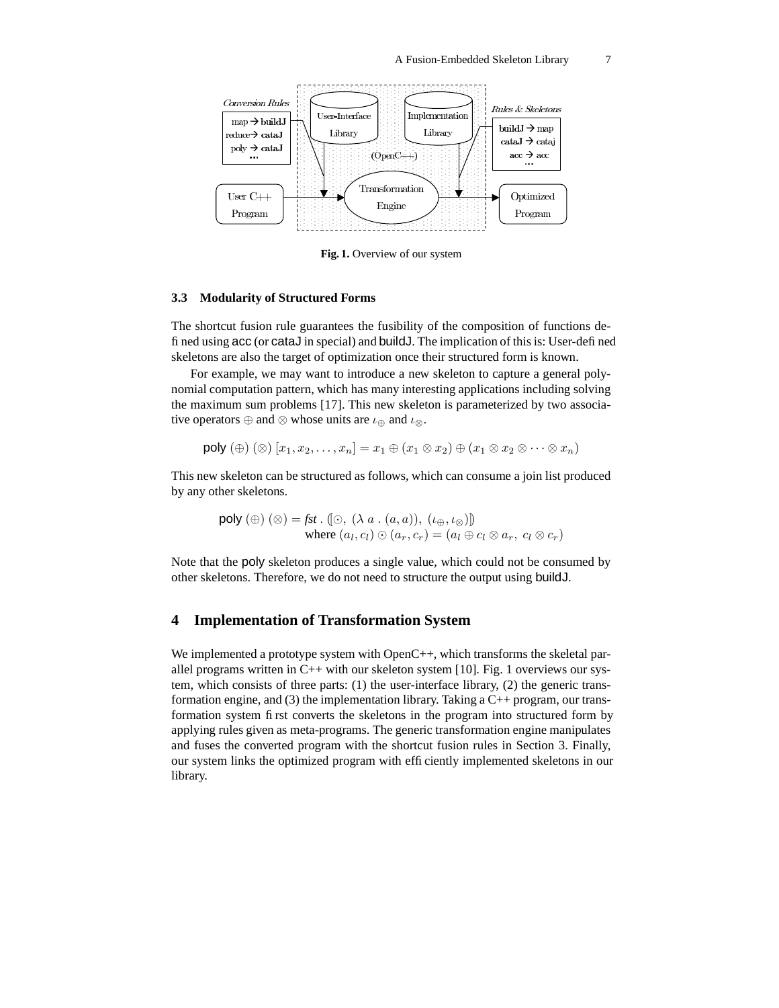

**Fig. 1.** Overview of our system

#### **3.3 Modularity of Structured Forms**

The shortcut fusion rule guarantees the fusibility of the composition of functions defined using acc (or cataJ in special) and buildJ. The implication of this is: User-defined skeletons are also the target of optimization once their structured form is known.

For example, we may want to introduce a new skeleton to capture a general polynomial computation pattern, which has many interesting applications including solving the maximum sum problems [17]. This new skeleton is parameterized by two associative operators  $\oplus$  and  $\otimes$  whose units are  $\iota_{\oplus}$  and  $\iota_{\otimes}$ .

$$
\mathsf{poly}\left(\oplus\right)\left(\otimes\right)\left[x_1,x_2,\ldots,x_n\right]=x_1\oplus\left(x_1\otimes x_2\right)\oplus\left(x_1\otimes x_2\otimes\cdots\otimes x_n\right)
$$

This new skeleton can be structured as follows, which can consume a join list produced by any other skeletons.

$$
\text{poly}(\bigoplus)(\otimes) = \text{fst.}(\bigodot, (\lambda \ a. (a, a)), (\iota_{\bigoplus}, \iota_{\otimes})]
$$
\n
$$
\text{where } (a_l, c_l) \odot (a_r, c_r) = (a_l \oplus c_l \otimes a_r, c_l \otimes c_r)
$$

Note that the poly skeleton produces a single value, which could not be consumed by other skeletons. Therefore, we do not need to structure the output using buildJ.

### **4 Implementation of Transformation System**

We implemented a prototype system with OpenC++, which transforms the skeletal parallel programs written in  $C++$  with our skeleton system [10]. Fig. 1 overviews our system, which consists of three parts: (1) the user-interface library, (2) the generic transformation engine, and (3) the implementation library. Taking a  $C++$  program, our transformation system first converts the skeletons in the program into structured form by applying rules given as meta-programs. The generic transformation engine manipulates and fuses the converted program with the shortcut fusion rules in Section 3. Finally, our system links the optimized program with efficiently implemented skeletons in our library.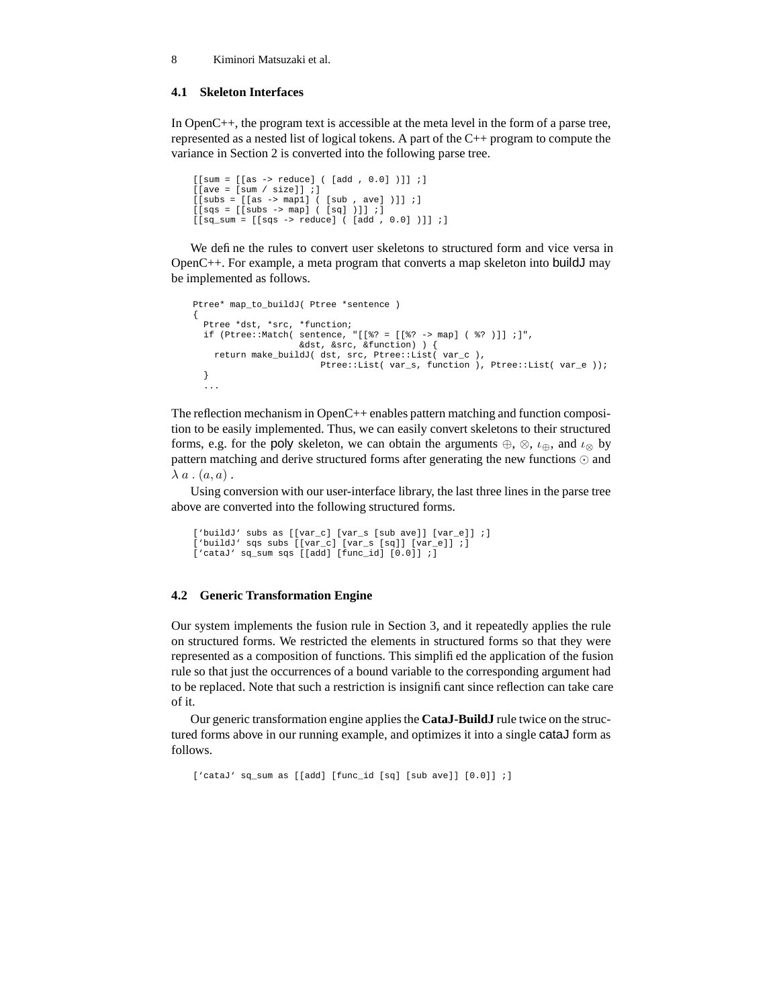8 Kiminori Matsuzaki et al.

### **4.1 Skeleton Interfaces**

In OpenC++, the program text is accessible at the meta level in the form of a parse tree, represented as a nested list of logical tokens. A part of the C++ program to compute the variance in Section 2 is converted into the following parse tree.

```
[[sum = [[as -> reduce] ( [add , 0.0] )]] ;]
[[ave = [sum / size]] ;][[\texttt{subs} = [[\texttt{as} \rightarrow \texttt{map1}] \ ([\texttt{sub} \ , \ \texttt{ave}] \ )]]~;][ [sgs = [[subs -> map] ( [sq] )]] ;][[sq_sum = [[sqs -> reduce] ( [add , 0.0] )]] ;]
```
We define the rules to convert user skeletons to structured form and vice versa in OpenC++. For example, a meta program that converts a map skeleton into buildJ may be implemented as follows.

```
Ptree* map_to_buildJ( Ptree *sentence )
{
  Ptree *dst, *src, *function;
  if (Ptree::Match( sentence, "[[%? = [[%? -> map] ( %? )]] ;]",
                    &dst, &src, &function) ) {
   return make_buildJ( dst, src, Ptree::List( var_c ),
                        Ptree::List( var_s, function ), Ptree::List( var_e ));
  }
  ...
```
The reflection mechanism in OpenC++ enables pattern matching and function composition to be easily implemented. Thus, we can easily convert skeletons to their structured forms, e.g. for the poly skeleton, we can obtain the arguments  $\oplus$ ,  $\otimes$ ,  $\iota_{\oplus}$ , and  $\iota_{\otimes}$  by pattern matching and derive structured forms after generating the new functions  $\odot$  and  $\lambda a$ .  $(a, a)$ .

Using conversion with our user-interface library, the last three lines in the parse tree above are converted into the following structured forms.

```
['buildJ' subs as [[var_c] [var_s [sub ave]] [var_e]] ;]
['buildJ' sqs subs [[var_c] [var_s [sq]] [var_e]] ;]
['cataJ' sq_sum sqs [[add] [func_id] [0.0]] ;]
```
### **4.2 Generic Transformation Engine**

Our system implements the fusion rule in Section 3, and it repeatedly applies the rule on structured forms. We restricted the elements in structured forms so that they were represented as a composition of functions. This simplified the application of the fusion rule so that just the occurrences of a bound variable to the corresponding argument had to be replaced. Note that such a restriction is insignificant since reflection can take care of it.

Our generic transformation engine applies the **CataJ-BuildJ** rule twice on the structured forms above in our running example, and optimizes it into a single cataJ form as follows.

```
['cataJ' sq_sum as [[add] [func_id [sq] [sub ave]] [0.0]] ;]
```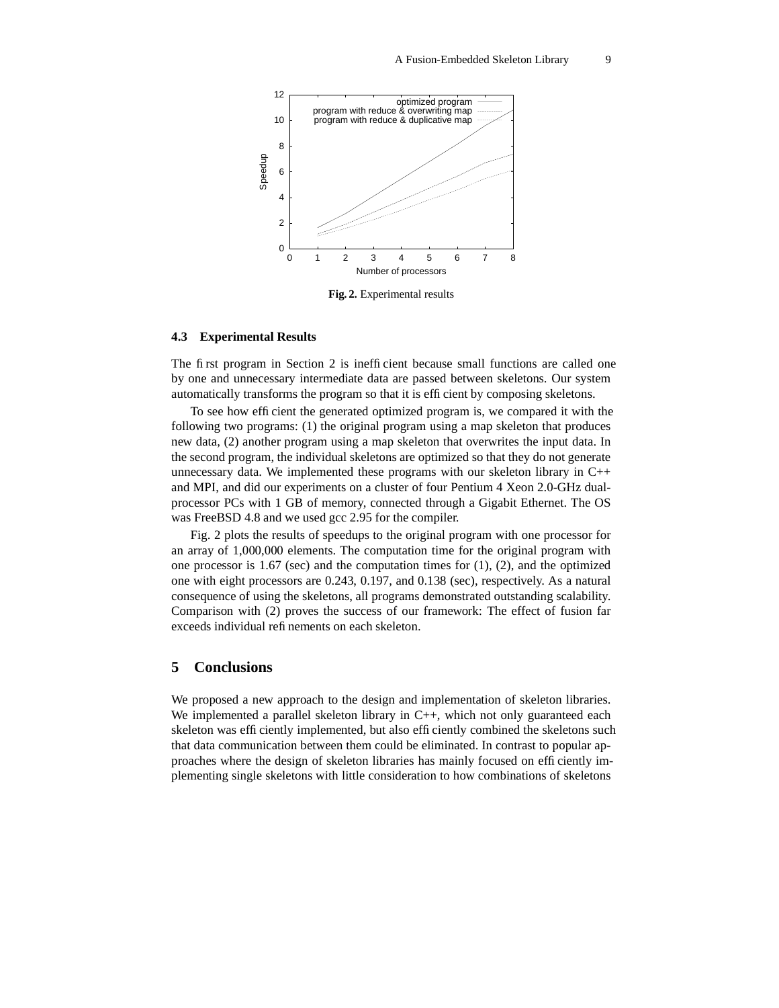

**Fig. 2.** Experimental results

#### **4.3 Experimental Results**

The first program in Section 2 is inefficient because small functions are called one by one and unnecessary intermediate data are passed between skeletons. Our system automatically transforms the program so that it is efficient by composing skeletons.

To see how efficient the generated optimized program is, we compared it with the following two programs: (1) the original program using a map skeleton that produces new data, (2) another program using a map skeleton that overwrites the input data. In the second program, the individual skeletons are optimized so that they do not generate unnecessary data. We implemented these programs with our skeleton library in C++ and MPI, and did our experiments on a cluster of four Pentium 4 Xeon 2.0-GHz dualprocessor PCs with 1 GB of memory, connected through a Gigabit Ethernet. The OS was FreeBSD 4.8 and we used gcc 2.95 for the compiler.

Fig. 2 plots the results of speedups to the original program with one processor for an array of 1,000,000 elements. The computation time for the original program with one processor is 1.67 (sec) and the computation times for (1), (2), and the optimized one with eight processors are 0.243, 0.197, and 0.138 (sec), respectively. As a natural consequence of using the skeletons, all programs demonstrated outstanding scalability. Comparison with (2) proves the success of our framework: The effect of fusion far exceeds individual refinements on each skeleton.

# **5 Conclusions**

We proposed a new approach to the design and implementation of skeleton libraries. We implemented a parallel skeleton library in  $C_{++}$ , which not only guaranteed each skeleton was efficiently implemented, but also efficiently combined the skeletons such that data communication between them could be eliminated. In contrast to popular approaches where the design of skeleton libraries has mainly focused on efficiently implementing single skeletons with little consideration to how combinations of skeletons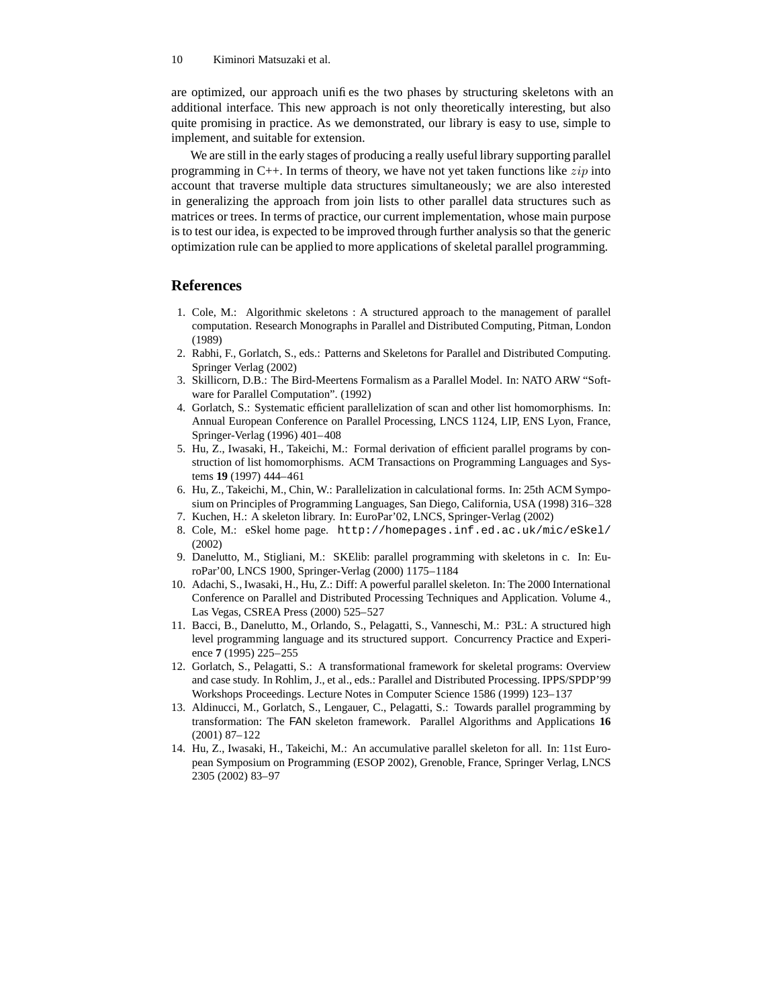are optimized, our approach unifies the two phases by structuring skeletons with an additional interface. This new approach is not only theoretically interesting, but also quite promising in practice. As we demonstrated, our library is easy to use, simple to implement, and suitable for extension.

We are still in the early stages of producing a really useful library supporting parallel programming in  $C_{++}$ . In terms of theory, we have not yet taken functions like  $zip$  into account that traverse multiple data structures simultaneously; we are also interested in generalizing the approach from join lists to other parallel data structures such as matrices or trees. In terms of practice, our current implementation, whose main purpose is to test our idea, is expected to be improved through further analysis so that the generic optimization rule can be applied to more applications of skeletal parallel programming.

## **References**

- 1. Cole, M.: Algorithmic skeletons : A structured approach to the management of parallel computation. Research Monographs in Parallel and Distributed Computing, Pitman, London (1989)
- 2. Rabhi, F., Gorlatch, S., eds.: Patterns and Skeletons for Parallel and Distributed Computing. Springer Verlag (2002)
- 3. Skillicorn, D.B.: The Bird-Meertens Formalism as a Parallel Model. In: NATO ARW "Software for Parallel Computation". (1992)
- 4. Gorlatch, S.: Systematic efficient parallelization of scan and other list homomorphisms. In: Annual European Conference on Parallel Processing, LNCS 1124, LIP, ENS Lyon, France, Springer-Verlag (1996) 401–408
- 5. Hu, Z., Iwasaki, H., Takeichi, M.: Formal derivation of efficient parallel programs by construction of list homomorphisms. ACM Transactions on Programming Languages and Systems **19** (1997) 444–461
- 6. Hu, Z., Takeichi, M., Chin, W.: Parallelization in calculational forms. In: 25th ACM Symposium on Principles of Programming Languages, San Diego, California, USA (1998) 316–328
- 7. Kuchen, H.: A skeleton library. In: EuroPar'02, LNCS, Springer-Verlag (2002) 8. Cole, M.: eSkel home page. http://homepages.inf.ed.ac.uk/mic/eSkel/
- (2002) 9. Danelutto, M., Stigliani, M.: SKElib: parallel programming with skeletons in c. In: Eu-
- roPar'00, LNCS 1900, Springer-Verlag (2000) 1175–1184 10. Adachi, S., Iwasaki, H., Hu, Z.: Diff: A powerful parallel skeleton. In: The 2000 International
- Conference on Parallel and Distributed Processing Techniques and Application. Volume 4., Las Vegas, CSREA Press (2000) 525–527
- 11. Bacci, B., Danelutto, M., Orlando, S., Pelagatti, S., Vanneschi, M.: P3L: A structured high level programming language and its structured support. Concurrency Practice and Experience **7** (1995) 225–255
- 12. Gorlatch, S., Pelagatti, S.: A transformational framework for skeletal programs: Overview and case study. In Rohlim, J., et al., eds.: Parallel and Distributed Processing. IPPS/SPDP'99 Workshops Proceedings. Lecture Notes in Computer Science 1586 (1999) 123–137
- 13. Aldinucci, M., Gorlatch, S., Lengauer, C., Pelagatti, S.: Towards parallel programming by transformation: The FAN skeleton framework. Parallel Algorithms and Applications **16** (2001) 87–122
- 14. Hu, Z., Iwasaki, H., Takeichi, M.: An accumulative parallel skeleton for all. In: 11st European Symposium on Programming (ESOP 2002), Grenoble, France, Springer Verlag, LNCS 2305 (2002) 83–97